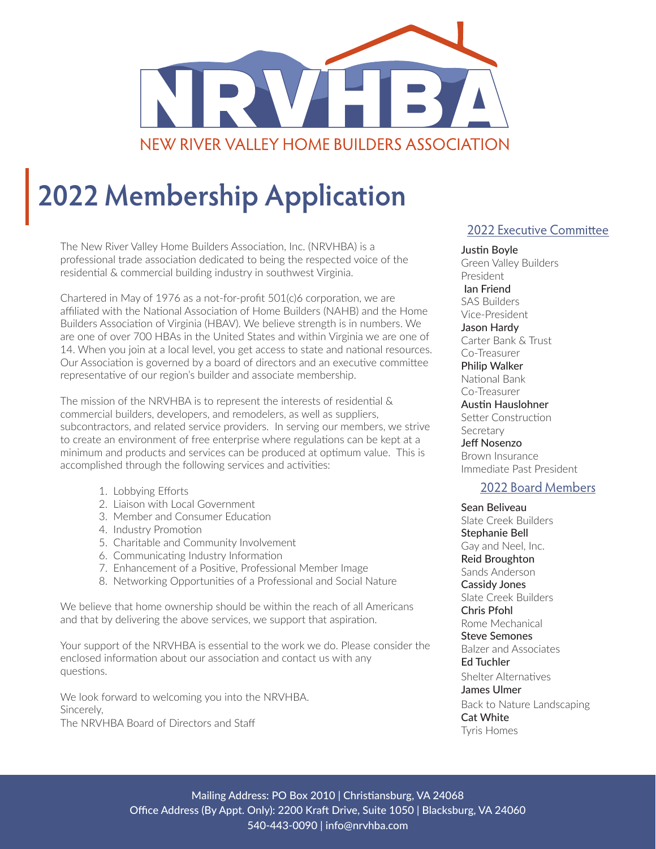

# **2022 Membership Application**

The New River Valley Home Builders Association, Inc. (NRVHBA) is a professional trade association dedicated to being the respected voice of the residential & commercial building industry in southwest Virginia.

Chartered in May of 1976 as a not-for-profit 501(c)6 corporation, we are affiliated with the National Association of Home Builders (NAHB) and the Home Builders Association of Virginia (HBAV). We believe strength is in numbers. We are one of over 700 HBAs in the United States and within Virginia we are one of 14. When you join at a local level, you get access to state and national resources. Our Association is governed by a board of directors and an executive committee representative of our region's builder and associate membership.

The mission of the NRVHBA is to represent the interests of residential & commercial builders, developers, and remodelers, as well as suppliers, subcontractors, and related service providers. In serving our members, we strive to create an environment of free enterprise where regulations can be kept at a minimum and products and services can be produced at optimum value. This is accomplished through the following services and activities:

- 1. Lobbying Efforts
- 2. Liaison with Local Government
- 3. Member and Consumer Education
- 4. Industry Promotion
- 5. Charitable and Community Involvement
- 6. Communicating Industry Information
- 7. Enhancement of a Positive, Professional Member Image
- 8. Networking Opportunities of a Professional and Social Nature

We believe that home ownership should be within the reach of all Americans and that by delivering the above services, we support that aspiration.

Your support of the NRVHBA is essential to the work we do. Please consider the enclosed information about our association and contact us with any questions.

We look forward to welcoming you into the NRVHBA. Sincerely, The NRVHBA Board of Directors and Staff

#### 2022 Executive Committee

Justin Boyle Green Valley Builders President Ian Friend SAS Builders Vice-President Jason Hardy Carter Bank & Trust Co-Treasurer Philip Walker National Bank Co-Treasurer Austin Hauslohner Setter Construction Secretary Jeff Nosenzo Brown Insurance Immediate Past President

#### 2022 Board Members

Sean Beliveau Slate Creek Builders Stephanie Bell Gay and Neel, Inc. Reid Broughton Sands Anderson Cassidy Jones Slate Creek Builders Chris Pfohl Rome Mechanical Steve Semones Balzer and Associates Ed Tuchler Shelter Alternatives James Ulmer Back to Nature Landscaping Cat White Tyris Homes

Mailing Address: PO Box 2010 | Christiansburg, VA 24068 Office Address (By Appt. Only): 2200 Kraft Drive, Suite 1050 | Blacksburg, VA 24060 540-443-0090 | info@nrvhba.com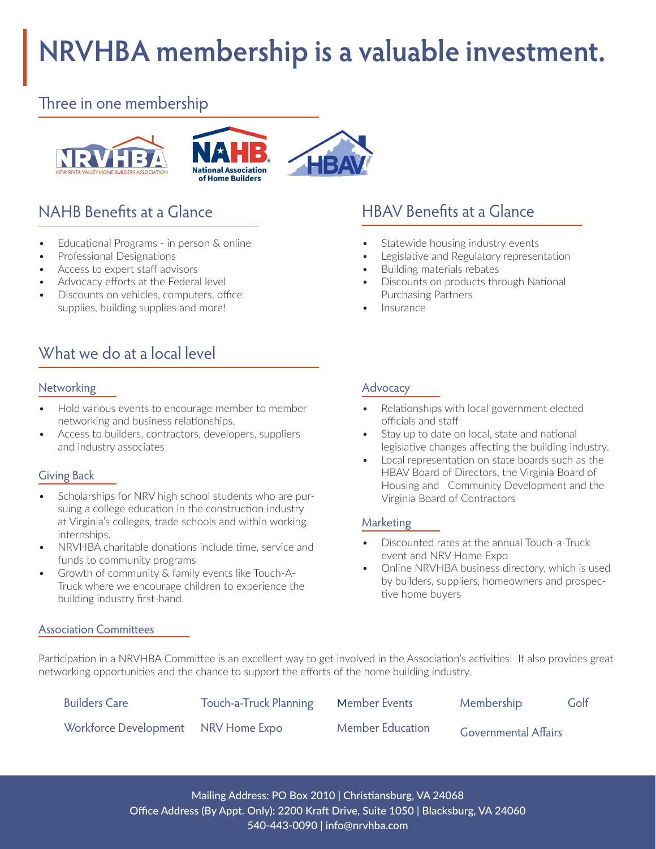# **NRVHBA membership is a valuable investment.**

### Three in one membership



- Educational Programs in person & online
- Professional Designations
- Access to expert staff advisors
- Advocacy efforts at the Federal level
- Discounts on vehicles, computers, office supplies, building supplies and more!

# What we do at a local level

#### Networking

- Hold various events to encourage member to member networking and business relationships.
- Access to builders, contractors, developers, suppliers and industry associates

#### Giving Back

- Scholarships for NRV high school students who are pursuing a college education in the construction industry at Virginia's colleges, trade schools and within working internships.
- NRVHBA charitable donations include time, service and funds to community programs
- Growth of community & family events like Touch-A-Truck where we encourage children to experience the building industry first-hand.

#### Association Committees

## NAHB Benefits at a Glance HBAV Benefits at a Glance

- Statewide housing industry events
- Legislative and Regulatory representation
- Building materials rebates
- Discounts on products through National Purchasing Partners
- Insurance

#### Advocacy

- Relationships with local government elected officials and staff
- Stay up to date on local, state and national legislative changes affecting the building industry.
- Local representation on state boards such as the HBAV Board of Directors, the Virginia Board of Housing and Community Development and the Virginia Board of Contractors

#### Marketing

- Discounted rates at the annual Touch-a-Truck event and NRV Home Expo
- Online NRVHBA business directory, which is used by builders, suppliers, homeowners and prospective home buyers

Participation in a NRVHBA Committee is an excellent way to get involved in the Association's activities! It also provides great networking opportunities and the chance to support the efforts of the home building industry.

| <b>Builders Care</b>                | Touch-a-Truck Planning | Member Events           | Membership                  | Golf |
|-------------------------------------|------------------------|-------------------------|-----------------------------|------|
| Workforce Development NRV Home Expo |                        | <b>Member Education</b> | <b>Governmental Affairs</b> |      |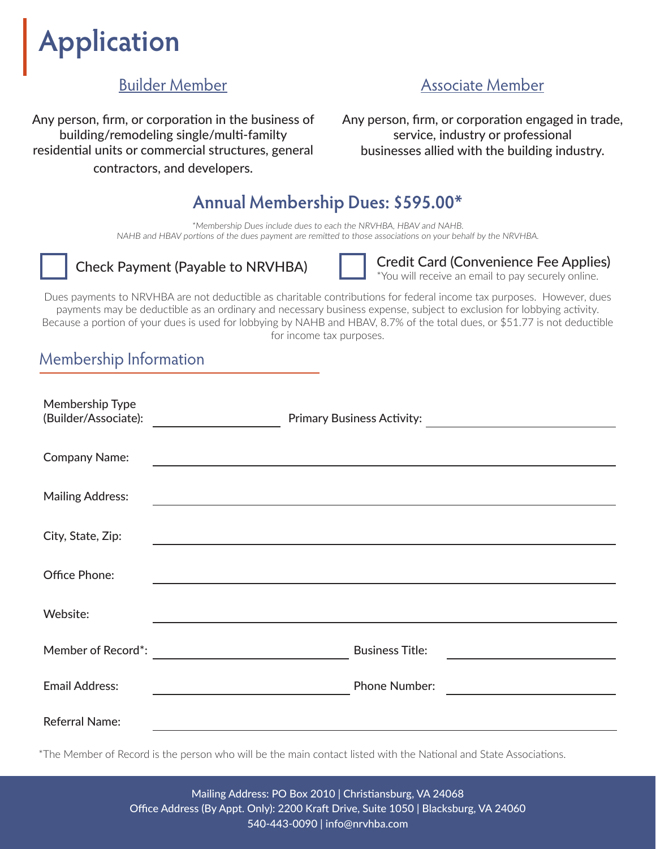# **Application**

## Builder Member

Any person, firm, or corporation in the business of building/remodeling single/multi-familty residential units or commercial structures, general contractors, and developers.

### Associate Member

Any person, firm, or corporation engaged in trade, service, industry or professional businesses allied with the building industry.

# **Annual Membership Dues: \$595.00\***

\*Membership Dues include dues to each the NRVHBA, HBAV and NAHB. NAHB and HBAV portions of the dues payment are remitted to those associations on your behalf by the NRVHBA.



Check Payment (Payable to NRVHBA) Credit Card (Convenience Fee Applies) \*You will receive an email to pay securely online.

Dues payments to NRVHBA are not deductible as charitable contributions for federal income tax purposes. However, dues payments may be deductible as an ordinary and necessary business expense, subject to exclusion for lobbying activity. Because a portion of your dues is used for lobbying by NAHB and HBAV, 8.7% of the total dues, or \$51.77 is not deductible for income tax purposes.

### Membership Information

| Membership Type<br>(Builder/Associate): | <b>Primary Business Activity:</b> |
|-----------------------------------------|-----------------------------------|
| <b>Company Name:</b>                    |                                   |
| <b>Mailing Address:</b>                 |                                   |
| City, State, Zip:                       |                                   |
| Office Phone:                           |                                   |
| Website:                                |                                   |
| Member of Record*:                      | <b>Business Title:</b>            |
| <b>Email Address:</b>                   | <b>Phone Number:</b>              |
| <b>Referral Name:</b>                   |                                   |

\*The Member of Record is the person who will be the main contact listed with the National and State Associations.